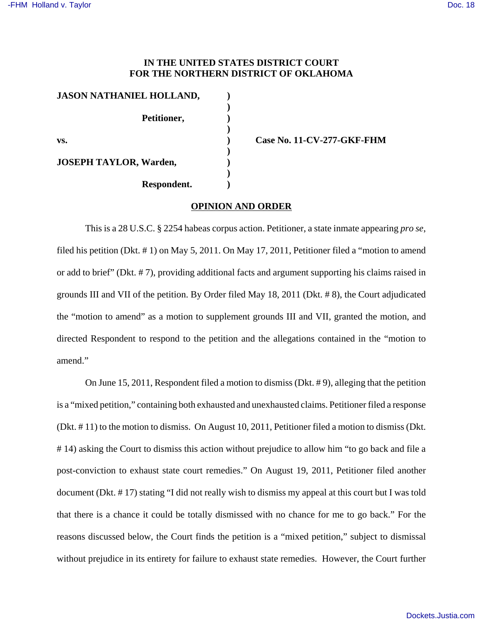# **IN THE UNITED STATES DISTRICT COURT FOR THE NORTHERN DISTRICT OF OKLAHOMA**

| JASON NATHANIEL HOLLAND,      |  |
|-------------------------------|--|
|                               |  |
| Petitioner,                   |  |
|                               |  |
| VS.                           |  |
|                               |  |
| <b>JOSEPH TAYLOR, Warden,</b> |  |
|                               |  |
| Respondent.                   |  |

**vs. ) Case No. 11-CV-277-GKF-FHM**

## **OPINION AND ORDER**

This is a 28 U.S.C. § 2254 habeas corpus action. Petitioner, a state inmate appearing *pro se*, filed his petition (Dkt. # 1) on May 5, 2011. On May 17, 2011, Petitioner filed a "motion to amend or add to brief" (Dkt. # 7), providing additional facts and argument supporting his claims raised in grounds III and VII of the petition. By Order filed May 18, 2011 (Dkt. # 8), the Court adjudicated the "motion to amend" as a motion to supplement grounds III and VII, granted the motion, and directed Respondent to respond to the petition and the allegations contained in the "motion to amend."

On June 15, 2011, Respondent filed a motion to dismiss (Dkt. # 9), alleging that the petition is a "mixed petition," containing both exhausted and unexhausted claims. Petitioner filed a response (Dkt. # 11) to the motion to dismiss. On August 10, 2011, Petitioner filed a motion to dismiss (Dkt. # 14) asking the Court to dismiss this action without prejudice to allow him "to go back and file a post-conviction to exhaust state court remedies." On August 19, 2011, Petitioner filed another document (Dkt. # 17) stating "I did not really wish to dismiss my appeal at this court but I was told that there is a chance it could be totally dismissed with no chance for me to go back." For the reasons discussed below, the Court finds the petition is a "mixed petition," subject to dismissal without prejudice in its entirety for failure to exhaust state remedies. However, the Court further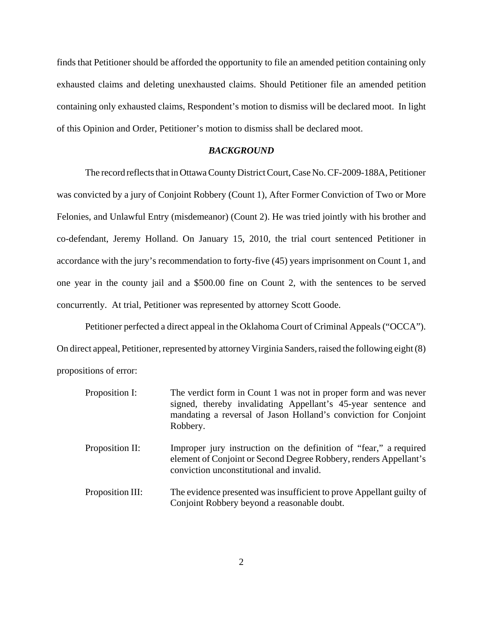finds that Petitioner should be afforded the opportunity to file an amended petition containing only exhausted claims and deleting unexhausted claims. Should Petitioner file an amended petition containing only exhausted claims, Respondent's motion to dismiss will be declared moot. In light of this Opinion and Order, Petitioner's motion to dismiss shall be declared moot.

### *BACKGROUND*

The record reflects that in Ottawa County District Court, Case No. CF-2009-188A, Petitioner was convicted by a jury of Conjoint Robbery (Count 1), After Former Conviction of Two or More Felonies, and Unlawful Entry (misdemeanor) (Count 2). He was tried jointly with his brother and co-defendant, Jeremy Holland. On January 15, 2010, the trial court sentenced Petitioner in accordance with the jury's recommendation to forty-five (45) years imprisonment on Count 1, and one year in the county jail and a \$500.00 fine on Count 2, with the sentences to be served concurrently. At trial, Petitioner was represented by attorney Scott Goode.

Petitioner perfected a direct appeal in the Oklahoma Court of Criminal Appeals ("OCCA"). On direct appeal, Petitioner, represented by attorney Virginia Sanders, raised the following eight (8) propositions of error:

| Proposition I:   | The verdict form in Count 1 was not in proper form and was never<br>signed, thereby invalidating Appellant's 45-year sentence and<br>mandating a reversal of Jason Holland's conviction for Conjoint<br>Robbery. |
|------------------|------------------------------------------------------------------------------------------------------------------------------------------------------------------------------------------------------------------|
| Proposition II:  | Improper jury instruction on the definition of "fear," a required<br>element of Conjoint or Second Degree Robbery, renders Appellant's<br>conviction unconstitutional and invalid.                               |
| Proposition III: | The evidence presented was insufficient to prove Appellant guilty of<br>Conjoint Robbery beyond a reasonable doubt.                                                                                              |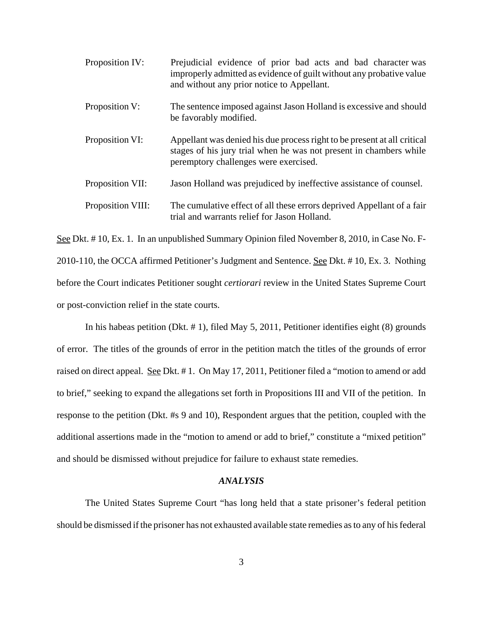| Proposition IV:   | Prejudicial evidence of prior bad acts and bad character was<br>improperly admitted as evidence of guilt without any probative value<br>and without any prior notice to Appellant.      |
|-------------------|-----------------------------------------------------------------------------------------------------------------------------------------------------------------------------------------|
| Proposition V:    | The sentence imposed against Jason Holland is excessive and should<br>be favorably modified.                                                                                            |
| Proposition VI:   | Appellant was denied his due process right to be present at all critical<br>stages of his jury trial when he was not present in chambers while<br>peremptory challenges were exercised. |
| Proposition VII:  | Jason Holland was prejudiced by ineffective assistance of counsel.                                                                                                                      |
| Proposition VIII: | The cumulative effect of all these errors deprived Appellant of a fair<br>trial and warrants relief for Jason Holland.                                                                  |

See Dkt. # 10, Ex. 1. In an unpublished Summary Opinion filed November 8, 2010, in Case No. F-2010-110, the OCCA affirmed Petitioner's Judgment and Sentence. See Dkt. # 10, Ex. 3. Nothing before the Court indicates Petitioner sought *certiorari* review in the United States Supreme Court or post-conviction relief in the state courts.

In his habeas petition (Dkt. # 1), filed May 5, 2011, Petitioner identifies eight (8) grounds of error. The titles of the grounds of error in the petition match the titles of the grounds of error raised on direct appeal. See Dkt. #1. On May 17, 2011, Petitioner filed a "motion to amend or add to brief," seeking to expand the allegations set forth in Propositions III and VII of the petition. In response to the petition (Dkt. #s 9 and 10), Respondent argues that the petition, coupled with the additional assertions made in the "motion to amend or add to brief," constitute a "mixed petition" and should be dismissed without prejudice for failure to exhaust state remedies.

#### *ANALYSIS*

The United States Supreme Court "has long held that a state prisoner's federal petition should be dismissed if the prisoner has not exhausted available state remedies as to any of his federal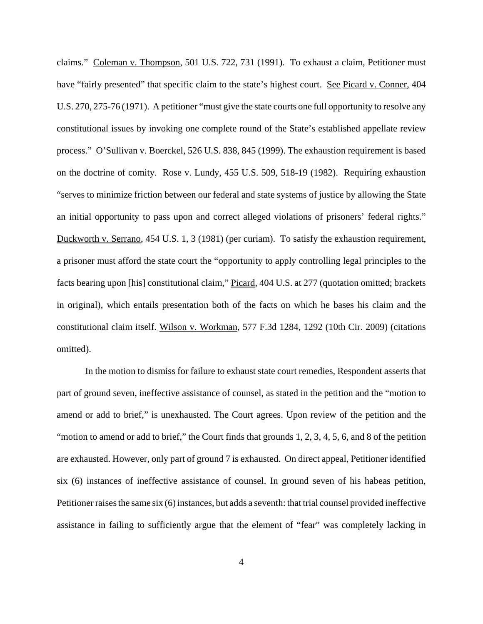claims." Coleman v. Thompson, 501 U.S. 722, 731 (1991). To exhaust a claim, Petitioner must have "fairly presented" that specific claim to the state's highest court. See Picard v. Conner, 404 U.S. 270, 275-76 (1971). A petitioner "must give the state courts one full opportunity to resolve any constitutional issues by invoking one complete round of the State's established appellate review process." O'Sullivan v. Boerckel, 526 U.S. 838, 845 (1999). The exhaustion requirement is based on the doctrine of comity. Rose v. Lundy, 455 U.S. 509, 518-19 (1982). Requiring exhaustion "serves to minimize friction between our federal and state systems of justice by allowing the State an initial opportunity to pass upon and correct alleged violations of prisoners' federal rights." Duckworth v. Serrano, 454 U.S. 1, 3 (1981) (per curiam). To satisfy the exhaustion requirement, a prisoner must afford the state court the "opportunity to apply controlling legal principles to the facts bearing upon [his] constitutional claim," Picard, 404 U.S. at 277 (quotation omitted; brackets in original), which entails presentation both of the facts on which he bases his claim and the constitutional claim itself. Wilson v. Workman, 577 F.3d 1284, 1292 (10th Cir. 2009) (citations omitted).

In the motion to dismiss for failure to exhaust state court remedies, Respondent asserts that part of ground seven, ineffective assistance of counsel, as stated in the petition and the "motion to amend or add to brief," is unexhausted. The Court agrees. Upon review of the petition and the "motion to amend or add to brief," the Court finds that grounds 1, 2, 3, 4, 5, 6, and 8 of the petition are exhausted. However, only part of ground 7 is exhausted. On direct appeal, Petitioner identified six (6) instances of ineffective assistance of counsel. In ground seven of his habeas petition, Petitioner raises the same six (6) instances, but adds a seventh: that trial counsel provided ineffective assistance in failing to sufficiently argue that the element of "fear" was completely lacking in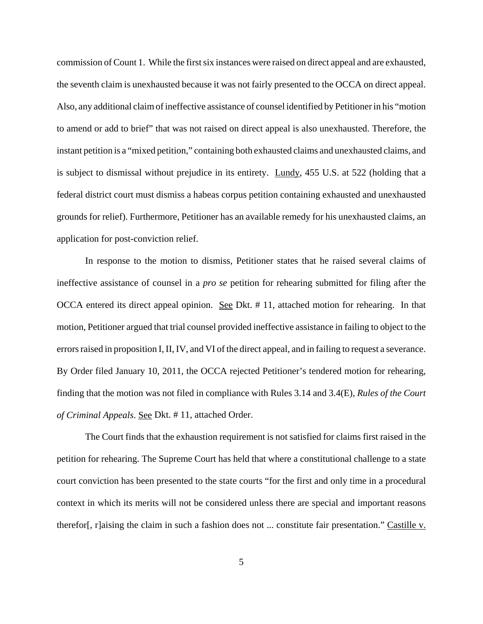commission of Count 1. While the first six instances were raised on direct appeal and are exhausted, the seventh claim is unexhausted because it was not fairly presented to the OCCA on direct appeal. Also, any additional claim of ineffective assistance of counsel identified by Petitioner in his "motion to amend or add to brief" that was not raised on direct appeal is also unexhausted. Therefore, the instant petition is a "mixed petition," containing both exhausted claims and unexhausted claims, and is subject to dismissal without prejudice in its entirety. Lundy, 455 U.S. at 522 (holding that a federal district court must dismiss a habeas corpus petition containing exhausted and unexhausted grounds for relief). Furthermore, Petitioner has an available remedy for his unexhausted claims, an application for post-conviction relief.

In response to the motion to dismiss, Petitioner states that he raised several claims of ineffective assistance of counsel in a *pro se* petition for rehearing submitted for filing after the OCCA entered its direct appeal opinion. See Dkt. # 11, attached motion for rehearing. In that motion, Petitioner argued that trial counsel provided ineffective assistance in failing to object to the errors raised in proposition I, II, IV, and VI of the direct appeal, and in failing to request a severance. By Order filed January 10, 2011, the OCCA rejected Petitioner's tendered motion for rehearing, finding that the motion was not filed in compliance with Rules 3.14 and 3.4(E), *Rules of the Court of Criminal Appeals*. See Dkt. # 11, attached Order.

The Court finds that the exhaustion requirement is not satisfied for claims first raised in the petition for rehearing. The Supreme Court has held that where a constitutional challenge to a state court conviction has been presented to the state courts "for the first and only time in a procedural context in which its merits will not be considered unless there are special and important reasons therefor[, r]aising the claim in such a fashion does not ... constitute fair presentation." Castille v.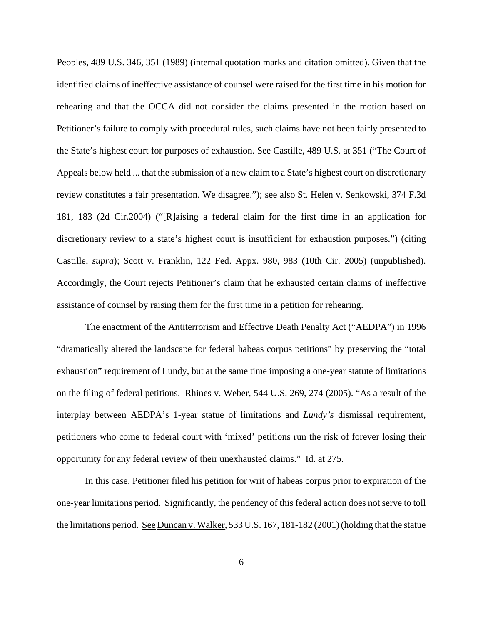Peoples, 489 U.S. 346, 351 (1989) (internal quotation marks and citation omitted). Given that the identified claims of ineffective assistance of counsel were raised for the first time in his motion for rehearing and that the OCCA did not consider the claims presented in the motion based on Petitioner's failure to comply with procedural rules, such claims have not been fairly presented to the State's highest court for purposes of exhaustion. See Castille, 489 U.S. at 351 ("The Court of Appeals below held ... that the submission of a new claim to a State's highest court on discretionary review constitutes a fair presentation. We disagree."); see also St. Helen v. Senkowski, 374 F.3d 181, 183 (2d Cir.2004) ("[R]aising a federal claim for the first time in an application for discretionary review to a state's highest court is insufficient for exhaustion purposes.") (citing Castille, *supra*); Scott v. Franklin, 122 Fed. Appx. 980, 983 (10th Cir. 2005) (unpublished). Accordingly, the Court rejects Petitioner's claim that he exhausted certain claims of ineffective assistance of counsel by raising them for the first time in a petition for rehearing.

The enactment of the Antiterrorism and Effective Death Penalty Act ("AEDPA") in 1996 "dramatically altered the landscape for federal habeas corpus petitions" by preserving the "total exhaustion" requirement of <u>Lundy</u>, but at the same time imposing a one-year statute of limitations on the filing of federal petitions. Rhines v. Weber, 544 U.S. 269, 274 (2005). "As a result of the interplay between AEDPA's 1-year statue of limitations and *Lundy's* dismissal requirement, petitioners who come to federal court with 'mixed' petitions run the risk of forever losing their opportunity for any federal review of their unexhausted claims." Id. at 275.

In this case, Petitioner filed his petition for writ of habeas corpus prior to expiration of the one-year limitations period. Significantly, the pendency of this federal action does not serve to toll the limitations period. See Duncan v. Walker, 533 U.S. 167, 181-182 (2001) (holding that the statue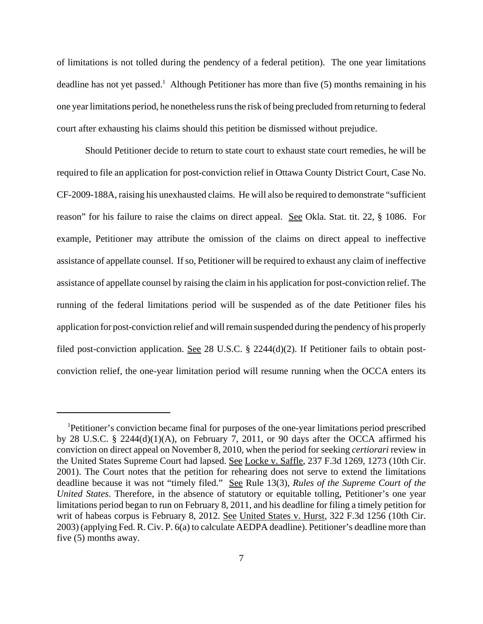of limitations is not tolled during the pendency of a federal petition). The one year limitations deadline has not yet passed.<sup>1</sup> Although Petitioner has more than five  $(5)$  months remaining in his one year limitations period, he nonetheless runs the risk of being precluded from returning to federal court after exhausting his claims should this petition be dismissed without prejudice.

Should Petitioner decide to return to state court to exhaust state court remedies, he will be required to file an application for post-conviction relief in Ottawa County District Court, Case No. CF-2009-188A, raising his unexhausted claims. He will also be required to demonstrate "sufficient reason" for his failure to raise the claims on direct appeal. See Okla. Stat. tit. 22, § 1086. For example, Petitioner may attribute the omission of the claims on direct appeal to ineffective assistance of appellate counsel. If so, Petitioner will be required to exhaust any claim of ineffective assistance of appellate counsel by raising the claim in his application for post-conviction relief. The running of the federal limitations period will be suspended as of the date Petitioner files his application for post-conviction relief and will remain suspended during the pendency of his properly filed post-conviction application. See 28 U.S.C. § 2244(d)(2). If Petitioner fails to obtain postconviction relief, the one-year limitation period will resume running when the OCCA enters its

<sup>1</sup>Petitioner's conviction became final for purposes of the one-year limitations period prescribed by 28 U.S.C. § 2244(d)(1)(A), on February 7, 2011, or 90 days after the OCCA affirmed his conviction on direct appeal on November 8, 2010, when the period for seeking *certiorari* review in the United States Supreme Court had lapsed. See Locke v. Saffle, 237 F.3d 1269, 1273 (10th Cir. 2001). The Court notes that the petition for rehearing does not serve to extend the limitations deadline because it was not "timely filed." See Rule 13(3), *Rules of the Supreme Court of the United States*. Therefore, in the absence of statutory or equitable tolling, Petitioner's one year limitations period began to run on February 8, 2011, and his deadline for filing a timely petition for writ of habeas corpus is February 8, 2012. See United States v. Hurst, 322 F.3d 1256 (10th Cir. 2003) (applying Fed. R. Civ. P. 6(a) to calculate AEDPA deadline). Petitioner's deadline more than five (5) months away.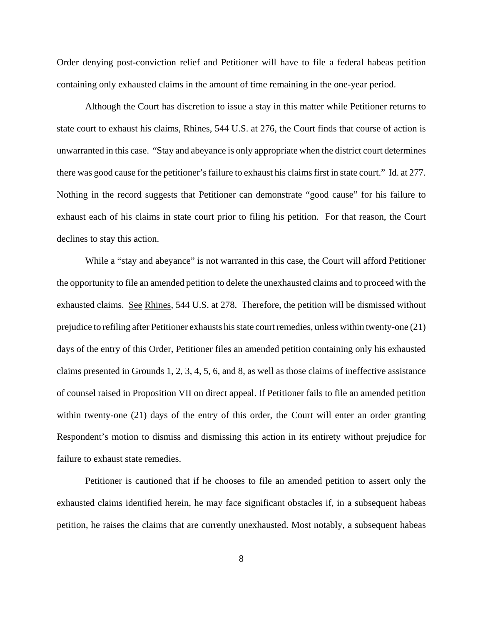Order denying post-conviction relief and Petitioner will have to file a federal habeas petition containing only exhausted claims in the amount of time remaining in the one-year period.

Although the Court has discretion to issue a stay in this matter while Petitioner returns to state court to exhaust his claims, Rhines, 544 U.S. at 276, the Court finds that course of action is unwarranted in this case. "Stay and abeyance is only appropriate when the district court determines there was good cause for the petitioner's failure to exhaust his claims first in state court." Id. at 277. Nothing in the record suggests that Petitioner can demonstrate "good cause" for his failure to exhaust each of his claims in state court prior to filing his petition. For that reason, the Court declines to stay this action.

While a "stay and abeyance" is not warranted in this case, the Court will afford Petitioner the opportunity to file an amended petition to delete the unexhausted claims and to proceed with the exhausted claims. See Rhines, 544 U.S. at 278. Therefore, the petition will be dismissed without prejudice to refiling after Petitioner exhausts his state court remedies, unless within twenty-one (21) days of the entry of this Order, Petitioner files an amended petition containing only his exhausted claims presented in Grounds 1, 2, 3, 4, 5, 6, and 8, as well as those claims of ineffective assistance of counsel raised in Proposition VII on direct appeal. If Petitioner fails to file an amended petition within twenty-one (21) days of the entry of this order, the Court will enter an order granting Respondent's motion to dismiss and dismissing this action in its entirety without prejudice for failure to exhaust state remedies.

Petitioner is cautioned that if he chooses to file an amended petition to assert only the exhausted claims identified herein, he may face significant obstacles if, in a subsequent habeas petition, he raises the claims that are currently unexhausted. Most notably, a subsequent habeas